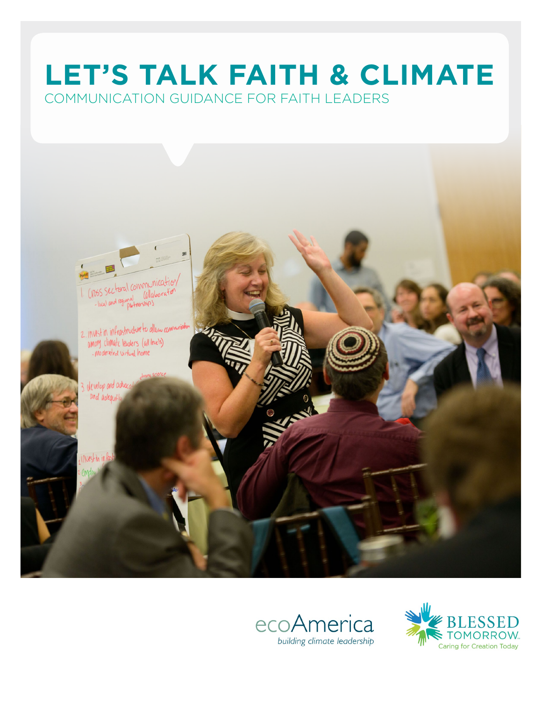# **LET'S TALK FAITH & CLIMATE** COMMUNICATION GUIDANCE FOR FAITH LEADERS



![](_page_0_Picture_2.jpeg)

![](_page_0_Picture_3.jpeg)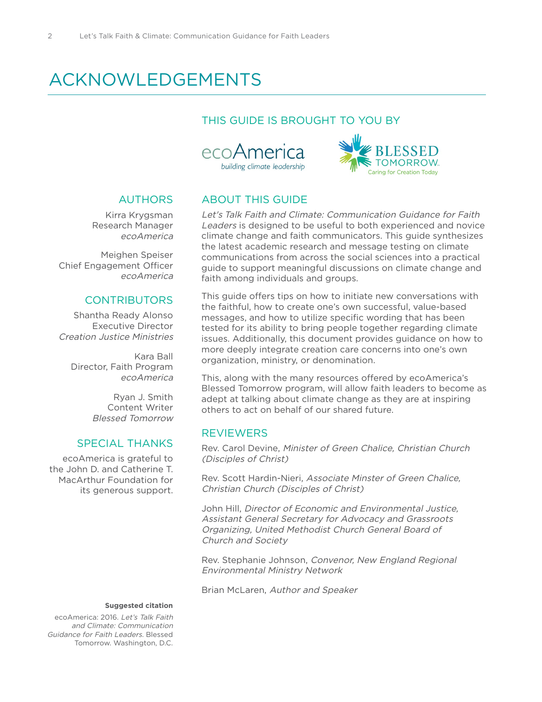## ACKNOWLEDGEMENTS

## THIS GUIDE IS BROUGHT TO YOU BY

![](_page_1_Picture_3.jpeg)

![](_page_1_Picture_4.jpeg)

## **AUTHORS**

Kirra Krygsman Research Manager ecoAmerica

Meighen Speiser Chief Engagement Officer ecoAmerica

## **CONTRIBUTORS**

Shantha Ready Alonso Executive Director Creation Justice Ministries

Kara Ball Director, Faith Program ecoAmerica

> Ryan J. Smith Content Writer Blessed Tomorrow

## SPECIAL THANKS

ecoAmerica is grateful to the John D. and Catherine T. MacArthur Foundation for its generous support.

## ABOUT THIS GUIDE

Let's Talk Faith and Climate: Communication Guidance for Faith Leaders is designed to be useful to both experienced and novice climate change and faith communicators. This guide synthesizes the latest academic research and message testing on climate communications from across the social sciences into a practical guide to support meaningful discussions on climate change and faith among individuals and groups.

This guide offers tips on how to initiate new conversations with the faithful, how to create one's own successful, value-based messages, and how to utilize specific wording that has been tested for its ability to bring people together regarding climate issues. Additionally, this document provides guidance on how to more deeply integrate creation care concerns into one's own organization, ministry, or denomination.

This, along with the many resources offered by ecoAmerica's Blessed Tomorrow program, will allow faith leaders to become as adept at talking about climate change as they are at inspiring others to act on behalf of our shared future.

## **REVIEWERS**

Rev. Carol Devine, Minister of Green Chalice, Christian Church (Disciples of Christ)

Rev. Scott Hardin-Nieri, Associate Minster of Green Chalice, Christian Church (Disciples of Christ)

John Hill, Director of Economic and Environmental Justice, Assistant General Secretary for Advocacy and Grassroots Organizing, United Methodist Church General Board of Church and Society

Rev. Stephanie Johnson, Convenor, New England Regional Environmental Ministry Network

Brian McLaren, Author and Speaker

### **Suggested citation**

ecoAmerica: 2016. Let's Talk Faith and Climate: Communication Guidance for Faith Leaders. Blessed Tomorrow. Washington, D.C.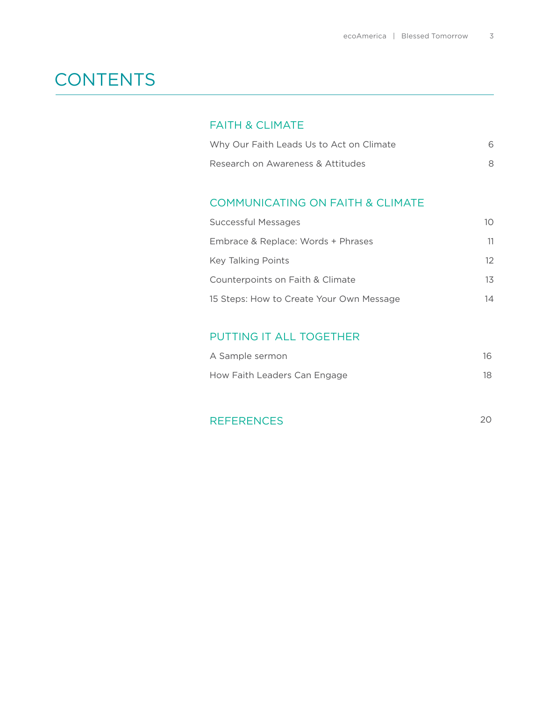## **CONTENTS**

## FAITH & CLIMATE

| Why Our Faith Leads Us to Act on Climate |  |
|------------------------------------------|--|
| Research on Awareness & Attitudes        |  |

## COMMUNICATING ON FAITH & CLIMATE

| Successful Messages                      | 10 |
|------------------------------------------|----|
| Embrace & Replace: Words + Phrases       | 11 |
| Key Talking Points                       | 12 |
| Counterpoints on Faith & Climate         | 13 |
| 15 Steps: How to Create Your Own Message | 14 |

## PUTTING IT ALL TOGETHER

| A Sample sermon              | 16 |
|------------------------------|----|
| How Faith Leaders Can Engage | 18 |

| <b>REFERENCES</b> |  |
|-------------------|--|
|                   |  |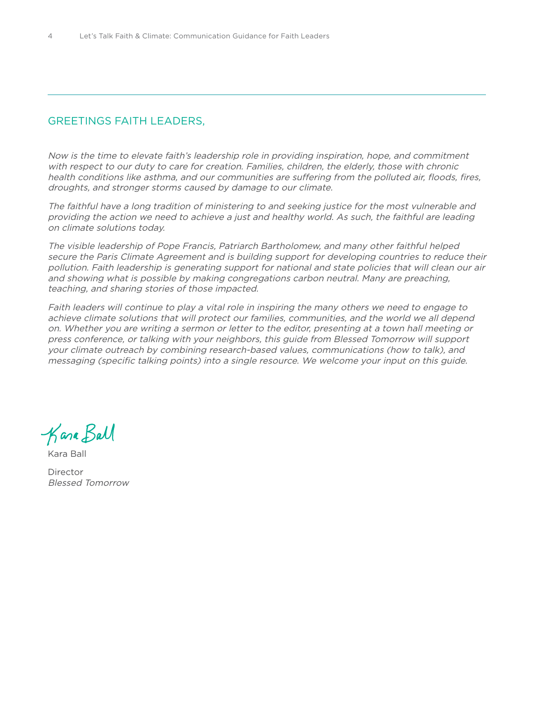## GREETINGS FAITH LEADERS,

Now is the time to elevate faith's leadership role in providing inspiration, hope, and commitment with respect to our duty to care for creation. Families, children, the elderly, those with chronic health conditions like asthma, and our communities are suffering from the polluted air, floods, fires, droughts, and stronger storms caused by damage to our climate.

The faithful have a long tradition of ministering to and seeking justice for the most vulnerable and providing the action we need to achieve a just and healthy world. As such, the faithful are leading on climate solutions today.

The visible leadership of Pope Francis, Patriarch Bartholomew, and many other faithful helped secure the Paris Climate Agreement and is building support for developing countries to reduce their pollution. Faith leadership is generating support for national and state policies that will clean our air and showing what is possible by making congregations carbon neutral. Many are preaching, teaching, and sharing stories of those impacted.

Faith leaders will continue to play a vital role in inspiring the many others we need to engage to achieve climate solutions that will protect our families, communities, and the world we all depend on. Whether you are writing a sermon or letter to the editor, presenting at a town hall meeting or press conference, or talking with your neighbors, this guide from Blessed Tomorrow will support your climate outreach by combining research-based values, communications (how to talk), and messaging (specific talking points) into a single resource. We welcome your input on this guide.

Kana Ball

Kara Ball

Director Blessed Tomorrow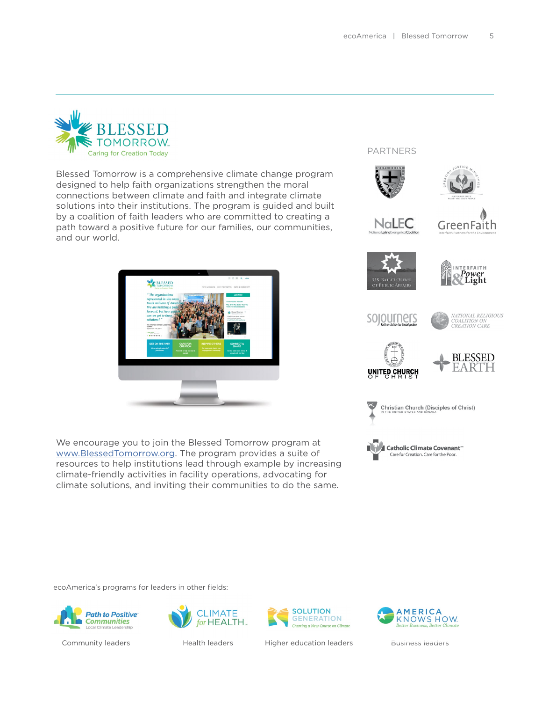PARTNERS

![](_page_4_Picture_1.jpeg)

Blessed Tomorrow is a comprehensive climate change program designed to help faith organizations strengthen the moral connections between climate and faith and integrate climate solutions into their institutions. The program is guided and built by a coalition of faith leaders who are committed to creating a path toward a positive future for our families, our communities, and our world.

![](_page_4_Picture_3.jpeg)

We encourage you to join the Blessed Tomorrow program at [www.BlessedTomorrow.org.](http://www.BlessedTomorrow.org) The program provides a suite of resources to help institutions lead through example by increasing climate-friendly activities in facility operations, advocating for climate solutions, and inviting their communities to do the same.

![](_page_4_Picture_5.jpeg)

![](_page_4_Picture_6.jpeg)

**Christian Church (Disciples of Christ)** 

![](_page_4_Picture_8.jpeg)

ecoAmerica's programs for leaders in other fields:

![](_page_4_Picture_10.jpeg)

![](_page_4_Picture_12.jpeg)

![](_page_4_Picture_14.jpeg)

Community leaders **Health leaders** Higher education leaders [Business leaders](http://www.americaknowshow.com)

![](_page_4_Picture_16.jpeg)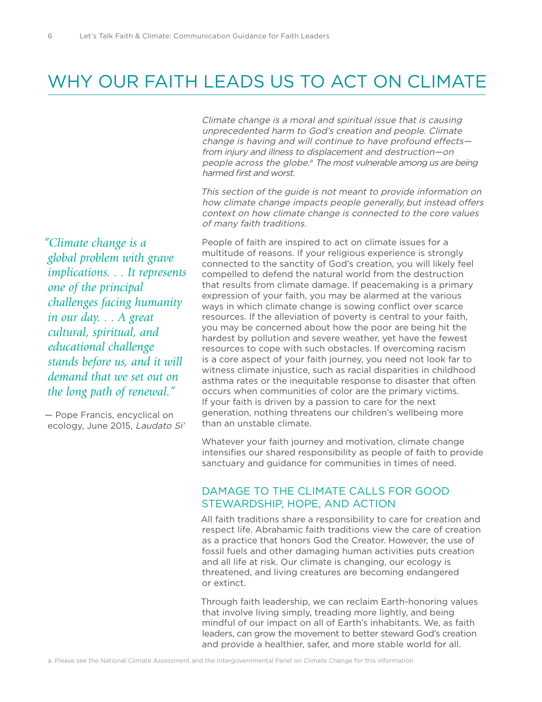## WHY OUR FAITH LEADS US TO ACT ON CLIMATE

Climate change is a moral and spiritual issue that is causing unprecedented harm to God's creation and people. Climate change is having and will continue to have profound effects from injury and illness to displacement and destruction—on people across the globe.<sup>a</sup> The most vulnerable among us are being harmed first and worst.

This section of the guide is not meant to provide information on how climate change impacts people generally, but instead offers context on how climate change is connected to the core values of many faith traditions.

*"Climate change is a global problem with grave implications. . . It represents one of the principal challenges facing humanity in our day. . . A great cultural, spiritual, and educational challenge stands before us, and it will demand that we set out on the long path of renewal."* 

— Pope Francis, encyclical on ecology, June 2015, Laudato Si' People of faith are inspired to act on climate issues for a multitude of reasons. If your religious experience is strongly connected to the sanctity of God's creation, you will likely feel compelled to defend the natural world from the destruction that results from climate damage. If peacemaking is a primary expression of your faith, you may be alarmed at the various ways in which climate change is sowing conflict over scarce resources. If the alleviation of poverty is central to your faith, you may be concerned about how the poor are being hit the hardest by pollution and severe weather, yet have the fewest resources to cope with such obstacles. If overcoming racism is a core aspect of your faith journey, you need not look far to witness climate injustice, such as racial disparities in childhood asthma rates or the inequitable response to disaster that often occurs when communities of color are the primary victims. If your faith is driven by a passion to care for the next generation, nothing threatens our children's wellbeing more than an unstable climate.

Whatever your faith journey and motivation, climate change intensifies our shared responsibility as people of faith to provide sanctuary and guidance for communities in times of need.

## DAMAGE TO THE CLIMATE CALLS FOR GOOD STEWARDSHIP, HOPE, AND ACTION

All faith traditions share a responsibility to care for creation and respect life. Abrahamic faith traditions view the care of creation as a practice that honors God the Creator. However, the use of fossil fuels and other damaging human activities puts creation and all life at risk. Our climate is changing, our ecology is threatened, and living creatures are becoming endangered or extinct.

Through faith leadership, we can reclaim Earth-honoring values that involve living simply, treading more lightly, and being mindful of our impact on all of Earth's inhabitants. We, as faith leaders, can grow the movement to better steward God's creation and provide a healthier, safer, and more stable world for all.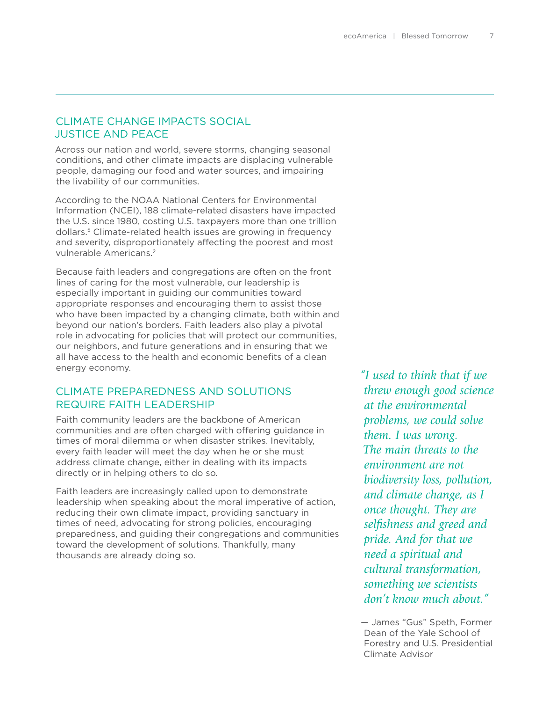## CLIMATE CHANGE IMPACTS SOCIAL JUSTICE AND PEACE

Across our nation and world, severe storms, changing seasonal conditions, and other climate impacts are displacing vulnerable people, damaging our food and water sources, and impairing the livability of our communities.

According to the NOAA National Centers for Environmental Information (NCEI), 188 climate-related disasters have impacted the U.S. since 1980, costing U.S. taxpayers more than one trillion dollars.<sup>5</sup> Climate-related health issues are growing in frequency and severity, disproportionately affecting the poorest and most vulnerable Americans.2

Because faith leaders and congregations are often on the front lines of caring for the most vulnerable, our leadership is especially important in guiding our communities toward appropriate responses and encouraging them to assist those who have been impacted by a changing climate, both within and beyond our nation's borders. Faith leaders also play a pivotal role in advocating for policies that will protect our communities, our neighbors, and future generations and in ensuring that we all have access to the health and economic benefits of a clean energy economy.

## CLIMATE PREPAREDNESS AND SOLUTIONS REQUIRE FAITH LEADERSHIP

Faith community leaders are the backbone of American communities and are often charged with offering guidance in times of moral dilemma or when disaster strikes. Inevitably, every faith leader will meet the day when he or she must address climate change, either in dealing with its impacts directly or in helping others to do so.

Faith leaders are increasingly called upon to demonstrate leadership when speaking about the moral imperative of action, reducing their own climate impact, providing sanctuary in times of need, advocating for strong policies, encouraging preparedness, and guiding their congregations and communities toward the development of solutions. Thankfully, many thousands are already doing so.

*"I used to think that if we threw enough good science at the environmental problems, we could solve them. I was wrong. The main threats to the environment are not biodiversity loss, pollution, and climate change, as I once thought. They are selfishness and greed and pride. And for that we need a spiritual and cultural transformation, something we scientists don't know much about."* 

— James "Gus" Speth, Former Dean of the Yale School of Forestry and U.S. Presidential Climate Advisor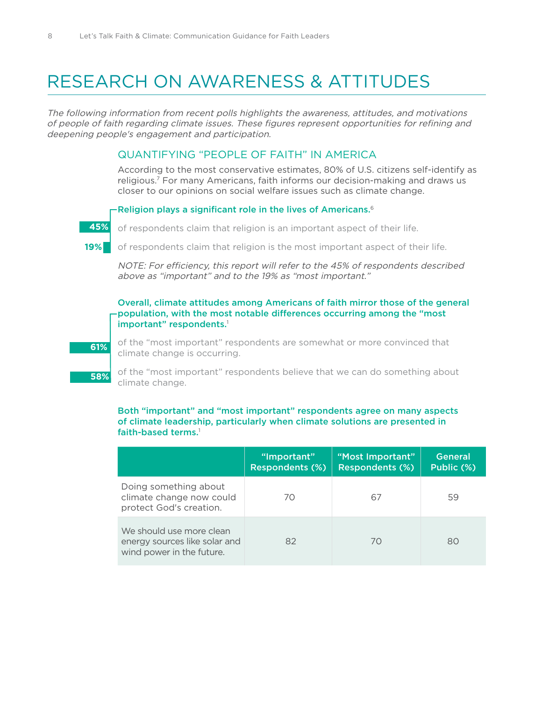## RESEARCH ON AWARENESS & ATTITUDES

The following information from recent polls highlights the awareness, attitudes, and motivations of people of faith regarding climate issues. These figures represent opportunities for refining and deepening people's engagement and participation.

### QUANTIFYING "PEOPLE OF FAITH" IN AMERICA

According to the most conservative estimates, 80% of U.S. citizens self-identify as religious.7 For many Americans, faith informs our decision-making and draws us closer to our opinions on social welfare issues such as climate change.

### -Religion plays a significant role in the lives of Americans.<sup>6</sup>

![](_page_7_Picture_6.jpeg)

of respondents claim that religion is an important aspect of their life.

of respondents claim that religion is the most important aspect of their life.  **19%**

NOTE: For efficiency, this report will refer to the 45% of respondents described above as "important" and to the 19% as "most important."

### Overall, climate attitudes among Americans of faith mirror those of the general population, with the most notable differences occurring among the "most important" respondents.<sup>1</sup>

![](_page_7_Picture_11.jpeg)

 **58%**

of the "most important" respondents are somewhat or more convinced that climate change is occurring.

of the "most important" respondents believe that we can do something about climate change.

### Both "important" and "most important" respondents agree on many aspects of climate leadership, particularly when climate solutions are presented in faith-based terms.<sup>1</sup>

|                                                                                        | "Important"<br><b>Respondents (%)</b> | "Most Important"<br><b>Respondents (%)</b> | <b>General</b><br>Public (%) |
|----------------------------------------------------------------------------------------|---------------------------------------|--------------------------------------------|------------------------------|
| Doing something about<br>climate change now could<br>protect God's creation.           | 70                                    | 67                                         | 59                           |
| We should use more clean<br>energy sources like solar and<br>wind power in the future. | 82                                    | 70                                         | 80                           |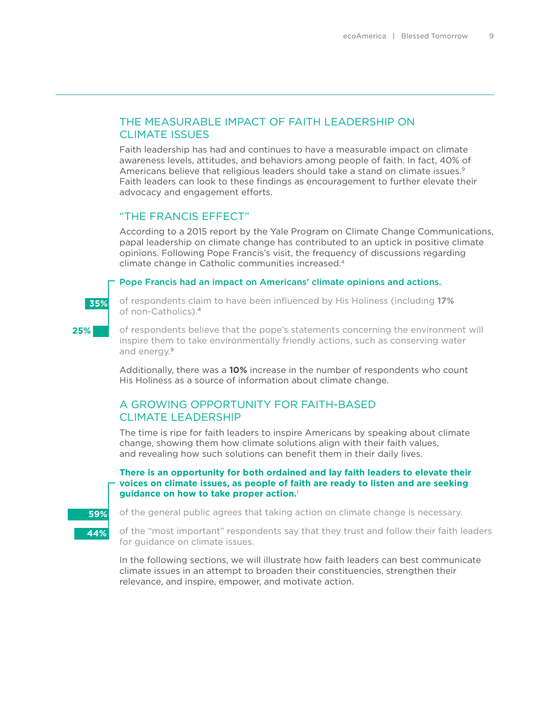## THE MEASURABLE IMPACT OF FAITH LEADERSHIP ON CLIMATE ISSUES

Faith leadership has had and continues to have a measurable impact on climate awareness levels, attitudes, and behaviors among people of faith. In fact, 40% of Americans believe that religious leaders should take a stand on climate issues.<sup>9</sup> Faith leaders can look to these findings as encouragement to further elevate their advocacy and engagement efforts.

## "THE FRANCIS EFFECT"

According to a 2015 report by the Yale Program on Climate Change Communications, papal leadership on climate change has contributed to an uptick in positive climate opinions. Following Pope Francis's visit, the frequency of discussions regarding climate change in Catholic communities increased.4

### Pope Francis had an impact on Americans' climate opinions and actions.

![](_page_8_Picture_6.jpeg)

**25%**

of respondents claim to have been influenced by His Holiness (including **17%** of non-Catholics).4

of respondents believe that the pope's statements concerning the environment will inspire them to take environmentally friendly actions, such as conserving water and energy.9

Additionally, there was a **10%** increase in the number of respondents who count His Holiness as a source of information about climate change.

## A GROWING OPPORTUNITY FOR FAITH-BASED CLIMATE LEADERSHIP

The time is ripe for faith leaders to inspire Americans by speaking about climate change, showing them how climate solutions align with their faith values, and revealing how such solutions can benefit them in their daily lives.

### **There is an opportunity for both ordained and lay faith leaders to elevate their voices on climate issues, as people of faith are ready to listen and are seeking guidance on how to take proper action.**<sup>1</sup>

![](_page_8_Picture_13.jpeg)

of the general public agrees that taking action on climate change is necessary.

of the "most important" respondents say that they trust and follow their faith leaders for guidance on climate issues.

In the following sections, we will illustrate how faith leaders can best communicate climate issues in an attempt to broaden their constituencies, strengthen their relevance, and inspire, empower, and motivate action.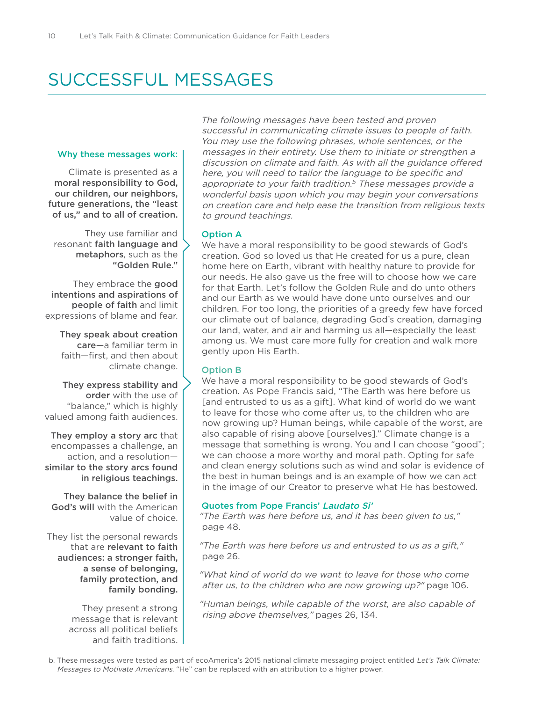## SUCCESSFUL MESSAGES

### Why these messages work:

Climate is presented as a moral responsibility to God, our children, our neighbors, future generations, the "least of us," and to all of creation.

They use familiar and resonant faith language and metaphors, such as the "Golden Rule."

They embrace the good intentions and aspirations of people of faith and limit expressions of blame and fear.

They speak about creation care—a familiar term in faith—first, and then about climate change.

They express stability and order with the use of "balance," which is highly valued among faith audiences.

They employ a story arc that encompasses a challenge, an action, and a resolution similar to the story arcs found in religious teachings.

They balance the belief in God's will with the American value of choice.

They list the personal rewards that are relevant to faith audiences: a stronger faith, a sense of belonging, family protection, and family bonding.

> They present a strong message that is relevant across all political beliefs and faith traditions.

The following messages have been tested and proven successful in communicating climate issues to people of faith. You may use the following phrases, whole sentences, or the messages in their entirety. Use them to initiate or strengthen a discussion on climate and faith. As with all the guidance offered here, you will need to tailor the language to be specific and appropriate to your faith tradition.<sup>b</sup> These messages provide a wonderful basis upon which you may begin your conversations on creation care and help ease the transition from religious texts to ground teachings.

### Option A

We have a moral responsibility to be good stewards of God's creation. God so loved us that He created for us a pure, clean home here on Earth, vibrant with healthy nature to provide for our needs. He also gave us the free will to choose how we care for that Earth. Let's follow the Golden Rule and do unto others and our Earth as we would have done unto ourselves and our children. For too long, the priorities of a greedy few have forced our climate out of balance, degrading God's creation, damaging our land, water, and air and harming us all—especially the least among us. We must care more fully for creation and walk more gently upon His Earth.

### Option B

We have a moral responsibility to be good stewards of God's creation. As Pope Francis said, "The Earth was here before us [and entrusted to us as a gift]. What kind of world do we want to leave for those who come after us, to the children who are now growing up? Human beings, while capable of the worst, are also capable of rising above [ourselves]." Climate change is a message that something is wrong. You and I can choose "good"; we can choose a more worthy and moral path. Opting for safe and clean energy solutions such as wind and solar is evidence of the best in human beings and is an example of how we can act in the image of our Creator to preserve what He has bestowed.

### Quotes from Pope Francis' Laudato Si'

"The Earth was here before us, and it has been given to us," page 48.

"The Earth was here before us and entrusted to us as a gift," page 26.

"What kind of world do we want to leave for those who come after us, to the children who are now growing up?" page 106.

"Human beings, while capable of the worst, are also capable of rising above themselves," pages 26, 134.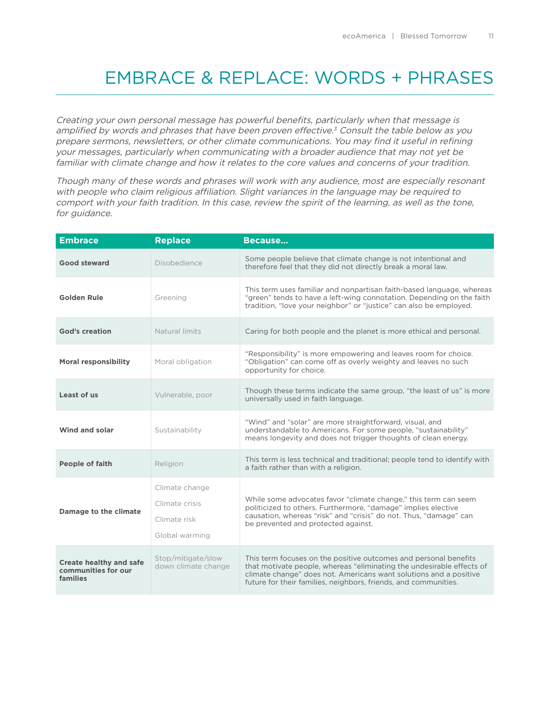## EMBRACE & REPLACE: WORDS + PHRASES

Creating your own personal message has powerful benefits, particularly when that message is amplified by words and phrases that have been proven effective.<sup>3</sup> Consult the table below as you prepare sermons, newsletters, or other climate communications. You may find it useful in refining your messages, particularly when communicating with a broader audience that may not yet be familiar with climate change and how it relates to the core values and concerns of your tradition.

Though many of these words and phrases will work with any audience, most are especially resonant with people who claim religious affiliation. Slight variances in the language may be required to comport with your faith tradition. In this case, review the spirit of the learning, as well as the tone, for guidance.

| <b>Embrace</b>                                                    | <b>Replace</b>                                                     | Because                                                                                                                                                                                                                                                                           |
|-------------------------------------------------------------------|--------------------------------------------------------------------|-----------------------------------------------------------------------------------------------------------------------------------------------------------------------------------------------------------------------------------------------------------------------------------|
| <b>Good steward</b>                                               | Disobedience                                                       | Some people believe that climate change is not intentional and<br>therefore feel that they did not directly break a moral law.                                                                                                                                                    |
| <b>Golden Rule</b>                                                | Greening                                                           | This term uses familiar and nonpartisan faith-based language, whereas<br>"green" tends to have a left-wing connotation. Depending on the faith<br>tradition, "love your neighbor" or "justice" can also be employed.                                                              |
| <b>God's creation</b>                                             | Natural limits                                                     | Caring for both people and the planet is more ethical and personal.                                                                                                                                                                                                               |
| <b>Moral responsibility</b>                                       | Moral obligation                                                   | "Responsibility" is more empowering and leaves room for choice.<br>"Obligation" can come off as overly weighty and leaves no such<br>opportunity for choice.                                                                                                                      |
| Least of us                                                       | Vulnerable, poor                                                   | Though these terms indicate the same group, "the least of us" is more<br>universally used in faith language.                                                                                                                                                                      |
| Wind and solar                                                    | Sustainability                                                     | "Wind" and "solar" are more straightforward, visual, and<br>understandable to Americans. For some people, "sustainability"<br>means longevity and does not trigger thoughts of clean energy.                                                                                      |
| <b>People of faith</b>                                            | Religion                                                           | This term is less technical and traditional; people tend to identify with<br>a faith rather than with a religion.                                                                                                                                                                 |
| Damage to the climate                                             | Climate change<br>Climate crisis<br>Climate risk<br>Global warming | While some advocates favor "climate change," this term can seem<br>politicized to others. Furthermore, "damage" implies elective<br>causation, whereas "risk" and "crisis" do not. Thus, "damage" can<br>be prevented and protected against.                                      |
| <b>Create healthy and safe</b><br>communities for our<br>families | Stop/mitigate/slow<br>down climate change                          | This term focuses on the positive outcomes and personal benefits<br>that motivate people, whereas "eliminating the undesirable effects of<br>climate change" does not. Americans want solutions and a positive<br>future for their families, neighbors, friends, and communities. |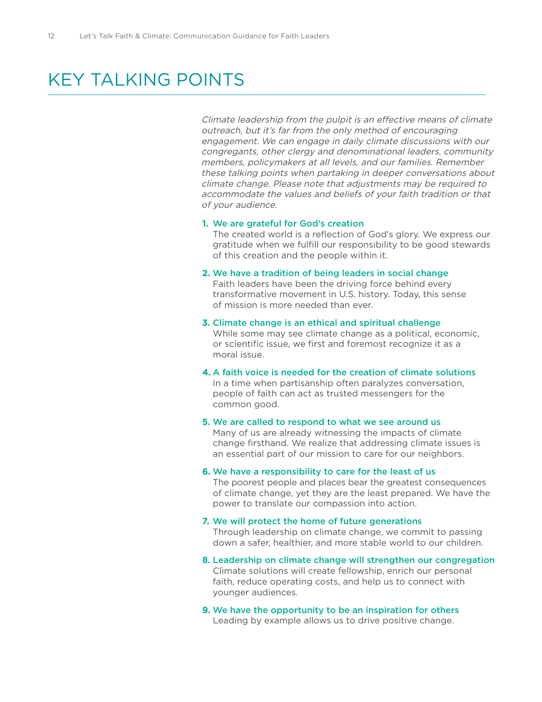## KEY TAI KING POINTS

Climate leadership from the pulpit is an effective means of climate outreach, but it's far from the only method of encouraging engagement. We can engage in daily climate discussions with our congregants, other clergy and denominational leaders, community members, policymakers at all levels, and our families. Remember these talking points when partaking in deeper conversations about climate change. Please note that adjustments may be required to accommodate the values and beliefs of your faith tradition or that of your audience.

### **1.** We are grateful for God's creation

The created world is a reflection of God's glory. We express our gratitude when we fulfill our responsibility to be good stewards of this creation and the people within it.

### **2.** We have a tradition of being leaders in social change

Faith leaders have been the driving force behind every transformative movement in U.S. history. Today, this sense of mission is more needed than ever.

### **3.** Climate change is an ethical and spiritual challenge

While some may see climate change as a political, economic, or scientific issue, we first and foremost recognize it as a moral issue.

**4.** A faith voice is needed for the creation of climate solutions In a time when partisanship often paralyzes conversation, people of faith can act as trusted messengers for the common good.

### **5.** We are called to respond to what we see around us Many of us are already witnessing the impacts of climate change firsthand. We realize that addressing climate issues is an essential part of our mission to care for our neighbors.

### **6.** We have a responsibility to care for the least of us

The poorest people and places bear the greatest consequences of climate change, yet they are the least prepared. We have the power to translate our compassion into action.

### **7.** We will protect the home of future generations

Through leadership on climate change, we commit to passing down a safer, healthier, and more stable world to our children.

- **8.** Leadership on climate change will strengthen our congregation Climate solutions will create fellowship, enrich our personal faith, reduce operating costs, and help us to connect with younger audiences.
- **9.** We have the opportunity to be an inspiration for others Leading by example allows us to drive positive change.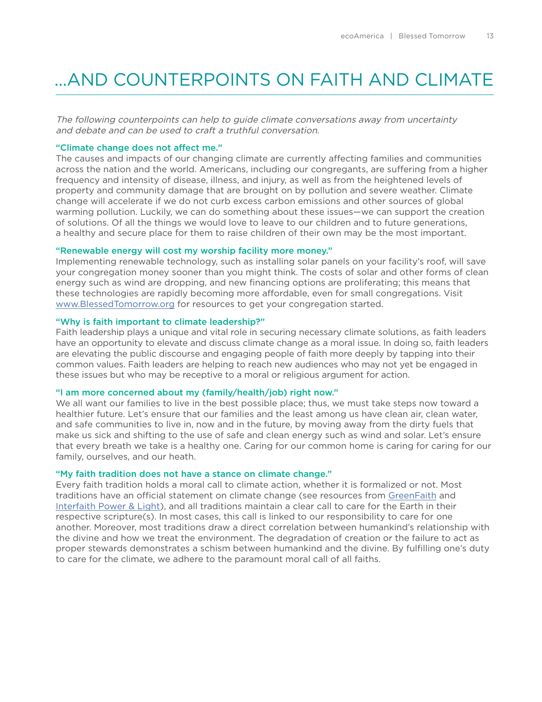## **LAND COUNTERPOINTS ON FAITH AND CLIMATE**

The following counterpoints can help to guide climate conversations away from uncertainty and debate and can be used to craft a truthful conversation.

### "Climate change does not affect me."

The causes and impacts of our changing climate are currently affecting families and communities across the nation and the world. Americans, including our congregants, are suffering from a higher frequency and intensity of disease, illness, and injury, as well as from the heightened levels of property and community damage that are brought on by pollution and severe weather. Climate change will accelerate if we do not curb excess carbon emissions and other sources of global warming pollution. Luckily, we can do something about these issues—we can support the creation of solutions. Of all the things we would love to leave to our children and to future generations, a healthy and secure place for them to raise children of their own may be the most important.

### "Renewable energy will cost my worship facility more money."

Implementing renewable technology, such as installing solar panels on your facility's roof, will save your congregation money sooner than you might think. The costs of solar and other forms of clean energy such as wind are dropping, and new financing options are proliferating; this means that these technologies are rapidly becoming more affordable, even for small congregations. Visit [www.BlessedTomorrow.org](http://www.BlessedTomorrow.org) for resources to get your congregation started.

### "Why is faith important to climate leadership?"

Faith leadership plays a unique and vital role in securing necessary climate solutions, as faith leaders have an opportunity to elevate and discuss climate change as a moral issue. In doing so, faith leaders are elevating the public discourse and engaging people of faith more deeply by tapping into their common values. Faith leaders are helping to reach new audiences who may not yet be engaged in these issues but who may be receptive to a moral or religious argument for action.

### "I am more concerned about my (family/health/job) right now."

We all want our families to live in the best possible place; thus, we must take steps now toward a healthier future. Let's ensure that our families and the least among us have clean air, clean water, and safe communities to live in, now and in the future, by moving away from the dirty fuels that make us sick and shifting to the use of safe and clean energy such as wind and solar. Let's ensure that every breath we take is a healthy one. Caring for our common home is caring for caring for our family, ourselves, and our heath.

### "My faith tradition does not have a stance on climate change."

Every faith tradition holds a moral call to climate action, whether it is formalized or not. Most traditions have an official statement on climate change (see resources from [GreenFaith](http://www.greenfaith.org/resource-center/spirit/greenworship-resource/greenworship-resource) and [Interfaith Power & Light\)](http://www.interfaithpowerandlight.org/religious-statements-on-climate-change/), and all traditions maintain a clear call to care for the Earth in their respective scripture(s). In most cases, this call is linked to our responsibility to care for one another. Moreover, most traditions draw a direct correlation between humankind's relationship with the divine and how we treat the environment. The degradation of creation or the failure to act as proper stewards demonstrates a schism between humankind and the divine. By fulfilling one's duty to care for the climate, we adhere to the paramount moral call of all faiths.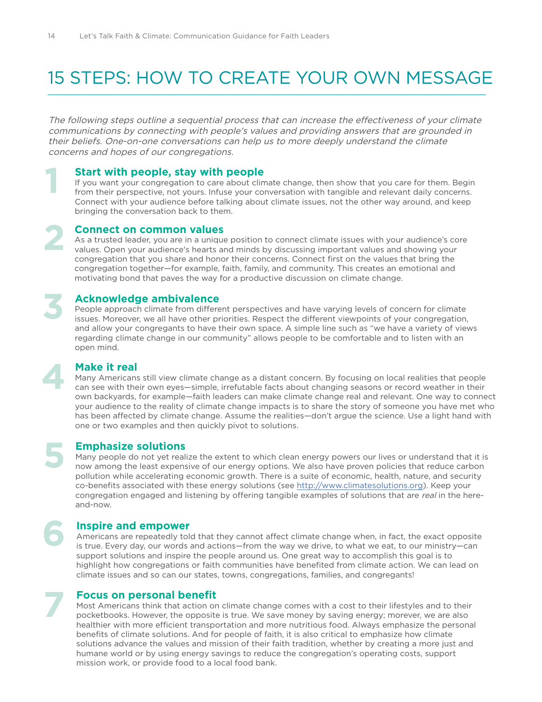## 15 STEPS: HOW TO CREATE YOUR OWN MESSAGE

The following steps outline a sequential process that can increase the effectiveness of your climate communications by connecting with people's values and providing answers that are grounded in their beliefs. One-on-one conversations can help us to more deeply understand the climate concerns and hopes of our congregations.

### **Start with people, stay with people**

If you want your congregation to care about climate change, then show that you care for them. Begin from their perspective, not yours. Infuse your conversation with tangible and relevant daily concerns. Connect with your audience before talking about climate issues, not the other way around, and keep bringing the conversation back to them.

### **Connect on common values**

As a trusted leader, you are in a unique position to connect climate issues with your audience's core values. Open your audience's hearts and minds by discussing important values and showing your congregation that you share and honor their concerns. Connect first on the values that bring the congregation together—for example, faith, family, and community. This creates an emotional and motivating bond that paves the way for a productive discussion on climate change.

## **Acknowledge ambivalence**

People approach climate from different perspectives and have varying levels of concern for climate issues. Moreover, we all have other priorities. Respect the different viewpoints of your congregation, and allow your congregants to have their own space. A simple line such as "we have a variety of views regarding climate change in our community" allows people to be comfortable and to listen with an open mind.

## **Make it real**

**1**

**2**

**3**

**4**

**5**

**6**

**7**

Many Americans still view climate change as a distant concern. By focusing on local realities that people can see with their own eyes—simple, irrefutable facts about changing seasons or record weather in their own backyards, for example—faith leaders can make climate change real and relevant. One way to connect your audience to the reality of climate change impacts is to share the story of someone you have met who has been affected by climate change. Assume the realities—don't argue the science. Use a light hand with one or two examples and then quickly pivot to solutions.

## **Emphasize solutions**

Many people do not yet realize the extent to which clean energy powers our lives or understand that it is now among the least expensive of our energy options. We also have proven policies that reduce carbon pollution while accelerating economic growth. There is a suite of economic, health, nature, and security co-benefits associated with these energy solutions (see [http://www.climatesolutions.org\)](http://www.climatesolutions.org). Keep your congregation engaged and listening by offering tangible examples of solutions that are real in the hereand-now.

### **Inspire and empower**

Americans are repeatedly told that they cannot affect climate change when, in fact, the exact opposite is true. Every day, our words and actions—from the way we drive, to what we eat, to our ministry—can support solutions and inspire the people around us. One great way to accomplish this goal is to highlight how congregations or faith communities have benefited from climate action. We can lead on climate issues and so can our states, towns, congregations, families, and congregants!

### **Focus on personal benefit**

Most Americans think that action on climate change comes with a cost to their lifestyles and to their pocketbooks. However, the opposite is true. We save money by saving energy; morever, we are also healthier with more efficient transportation and more nutritious food. Always emphasize the personal benefits of climate solutions. And for people of faith, it is also critical to emphasize how climate solutions advance the values and mission of their faith tradition, whether by creating a more just and humane world or by using energy savings to reduce the congregation's operating costs, support mission work, or provide food to a local food bank.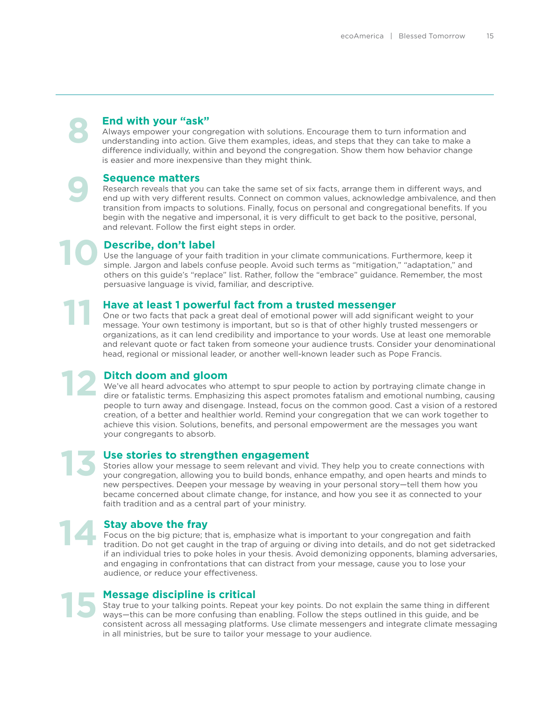## **End with your "ask"**

Always empower your congregation with solutions. Encourage them to turn information and understanding into action. Give them examples, ideas, and steps that they can take to make a difference individually, within and beyond the congregation. Show them how behavior change is easier and more inexpensive than they might think.

### **Sequence matters**

**9**

**8**

**11**

**13**

Research reveals that you can take the same set of six facts, arrange them in different ways, and end up with very different results. Connect on common values, acknowledge ambivalence, and then transition from impacts to solutions. Finally, focus on personal and congregational benefits. If you begin with the negative and impersonal, it is very difficult to get back to the positive, personal, and relevant. Follow the first eight steps in order.

**Describe, don't label** Use the language of your faith tradition in your climate communications. Furthermore, keep it simple. Jargon and labels confuse people. Avoid such terms as "mitigation," "adaptation," and others on this guide's "replace" list. Rather, follow the "embrace" guidance. Remember, the most persuasive language is vivid, familiar, and descriptive. **10**

**Have at least 1 powerful fact from a trusted messenger** One or two facts that pack a great deal of emotional power will add significant weight to your message. Your own testimony is important, but so is that of other highly trusted messengers or organizations, as it can lend credibility and importance to your words. Use at least one memorable and relevant quote or fact taken from someone your audience trusts. Consider your denominational head, regional or missional leader, or another well-known leader such as Pope Francis.

**Ditch doom and gloom** We've all heard advocates who attempt to spur people to action by portraying climate change in dire or fatalistic terms. Emphasizing this aspect promotes fatalism and emotional numbing, causing people to turn away and disengage. Instead, focus on the common good. Cast a vision of a restored creation, of a better and healthier world. Remind your congregation that we can work together to achieve this vision. Solutions, benefits, and personal empowerment are the messages you want your congregants to absorb. **12**

### **Use stories to strengthen engagement**

Stories allow your message to seem relevant and vivid. They help you to create connections with your congregation, allowing you to build bonds, enhance empathy, and open hearts and minds to new perspectives. Deepen your message by weaving in your personal story—tell them how you became concerned about climate change, for instance, and how you see it as connected to your faith tradition and as a central part of your ministry.

## **Stay above the fray 14**

Focus on the big picture; that is, emphasize what is important to your congregation and faith tradition. Do not get caught in the trap of arguing or diving into details, and do not get sidetracked if an individual tries to poke holes in your thesis. Avoid demonizing opponents, blaming adversaries, and engaging in confrontations that can distract from your message, cause you to lose your audience, or reduce your effectiveness.

## **Message discipline is critical 15**

Stay true to your talking points. Repeat your key points. Do not explain the same thing in different ways—this can be more confusing than enabling. Follow the steps outlined in this guide, and be consistent across all messaging platforms. Use climate messengers and integrate climate messaging in all ministries, but be sure to tailor your message to your audience.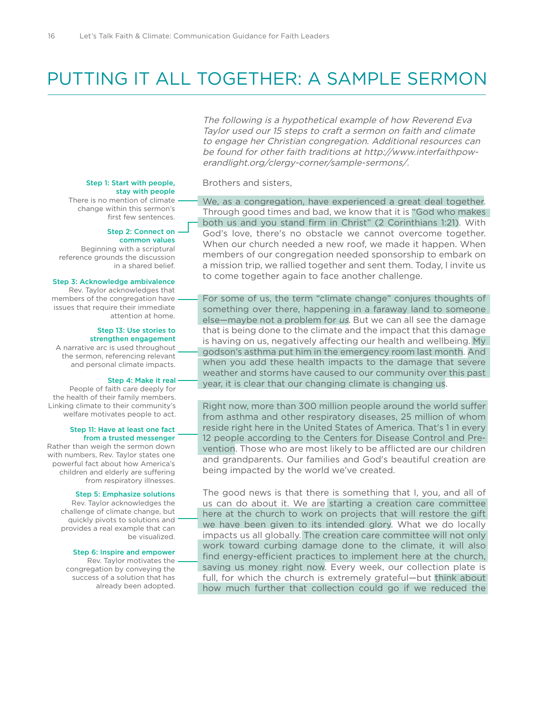## PUTTING IT ALL TOGETHER: A SAMPLE SERMON

The following is a hypothetical example of how Reverend Eva Taylor used our 15 steps to craft a sermon on faith and climate to engage her Christian congregation. Additional resources can be found for other faith traditions at http://www.interfaithpowerandlight.org/clergy-corner/sample-sermons/.

Brothers and sisters,

### Step 1: Start with people, stay with people

There is no mention of climate change within this sermon's first few sentences.

### Step 2: Connect on

 common values Beginning with a scriptural reference grounds the discussion in a shared belief.

#### Step 3: Acknowledge ambivalence

Rev. Taylor acknowledges that members of the congregation have issues that require their immediate attention at home.

#### Step 13: Use stories to strengthen engagement

A narrative arc is used throughout the sermon, referencing relevant and personal climate impacts.

#### Step 4: Make it real

People of faith care deeply for the health of their family members. Linking climate to their community's welfare motivates people to act.

#### Step 11: Have at least one fact from a trusted messenger

Rather than weigh the sermon down with numbers, Rev. Taylor states one powerful fact about how America's children and elderly are suffering from respiratory illnesses.

#### Step 5: Emphasize solutions

Rev. Taylor acknowledges the challenge of climate change, but quickly pivots to solutions and provides a real example that can be visualized.

#### Step 6: Inspire and empower

Rev. Taylor motivates the congregation by conveying the success of a solution that has already been adopted. We, as a congregation, have experienced a great deal together. Through good times and bad, we know that it is "God who makes both us and you stand firm in Christ" (2 Corinthians 1:21). With God's love, there's no obstacle we cannot overcome together. When our church needed a new roof, we made it happen. When members of our congregation needed sponsorship to embark on a mission trip, we rallied together and sent them. Today, I invite us to come together again to face another challenge.

For some of us, the term "climate change" conjures thoughts of something over there, happening in a faraway land to someone else—maybe not a problem for us. But we can all see the damage that is being done to the climate and the impact that this damage is having on us, negatively affecting our health and wellbeing. My godson's asthma put him in the emergency room last month. And when you add these health impacts to the damage that severe weather and storms have caused to our community over this past year, it is clear that our changing climate is changing us.

Right now, more than 300 million people around the world suffer from asthma and other respiratory diseases, 25 million of whom reside right here in the United States of America. That's 1 in every 12 people according to the Centers for Disease Control and Prevention. Those who are most likely to be afflicted are our children and grandparents. Our families and God's beautiful creation are being impacted by the world we've created.

The good news is that there is something that I, you, and all of us can do about it. We are starting a creation care committee here at the church to work on projects that will restore the gift we have been given to its intended glory. What we do locally impacts us all globally. The creation care committee will not only work toward curbing damage done to the climate, it will also find energy-efficient practices to implement here at the church, saving us money right now. Every week, our collection plate is full, for which the church is extremely grateful—but think about how much further that collection could go if we reduced the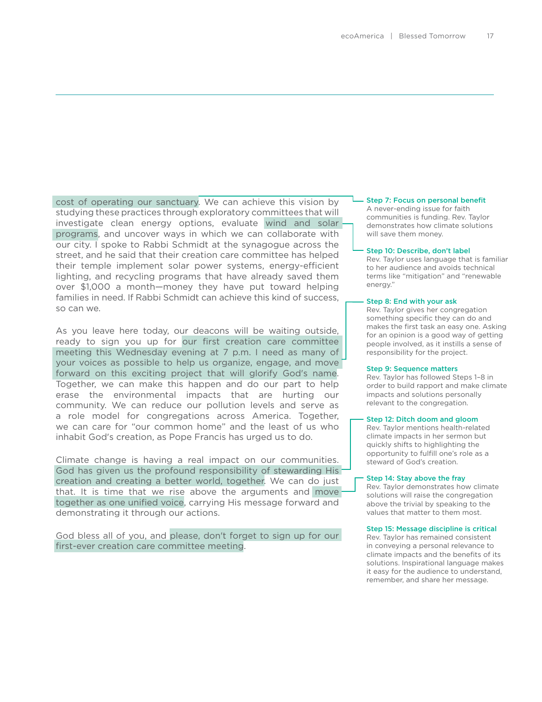cost of operating our sanctuary. We can achieve this vision by studying these practices through exploratory committees that will investigate clean energy options, evaluate wind and solar programs, and uncover ways in which we can collaborate with our city. I spoke to Rabbi Schmidt at the synagogue across the street, and he said that their creation care committee has helped their temple implement solar power systems, energy-efficient lighting, and recycling programs that have already saved them over \$1,000 a month—money they have put toward helping families in need. If Rabbi Schmidt can achieve this kind of success, so can we.

As you leave here today, our deacons will be waiting outside, ready to sign you up for our first creation care committee meeting this Wednesday evening at 7 p.m. I need as many of your voices as possible to help us organize, engage, and move forward on this exciting project that will glorify God's name. Together, we can make this happen and do our part to help erase the environmental impacts that are hurting our community. We can reduce our pollution levels and serve as a role model for congregations across America. Together, we can care for "our common home" and the least of us who inhabit God's creation, as Pope Francis has urged us to do.

Climate change is having a real impact on our communities. God has given us the profound responsibility of stewarding His creation and creating a better world, together. We can do just that. It is time that we rise above the arguments and move together as one unified voice, carrying His message forward and demonstrating it through our actions.

God bless all of you, and please, don't forget to sign up for our first-ever creation care committee meeting.

### Step 7: Focus on personal benefit

A never-ending issue for faith communities is funding. Rev. Taylor demonstrates how climate solutions will save them money.

#### Step 10: Describe, don't label

Rev. Taylor uses language that is familiar to her audience and avoids technical terms like "mitigation" and "renewable energy."

#### Step 8: End with your ask

Rev. Taylor gives her congregation something specific they can do and makes the first task an easy one. Asking for an opinion is a good way of getting people involved, as it instills a sense of responsibility for the project.

#### Step 9: Sequence matters

Rev. Taylor has followed Steps 1–8 in order to build rapport and make climate impacts and solutions personally relevant to the congregation.

#### Step 12: Ditch doom and gloom

Rev. Taylor mentions health-related climate impacts in her sermon but quickly shifts to highlighting the opportunity to fulfill one's role as a steward of God's creation.

#### Step 14: Stay above the fray

Rev. Taylor demonstrates how climate solutions will raise the congregation above the trivial by speaking to the values that matter to them most.

#### Step 15: Message discipline is critical

Rev. Taylor has remained consistent in conveying a personal relevance to climate impacts and the benefits of its solutions. Inspirational language makes it easy for the audience to understand, remember, and share her message.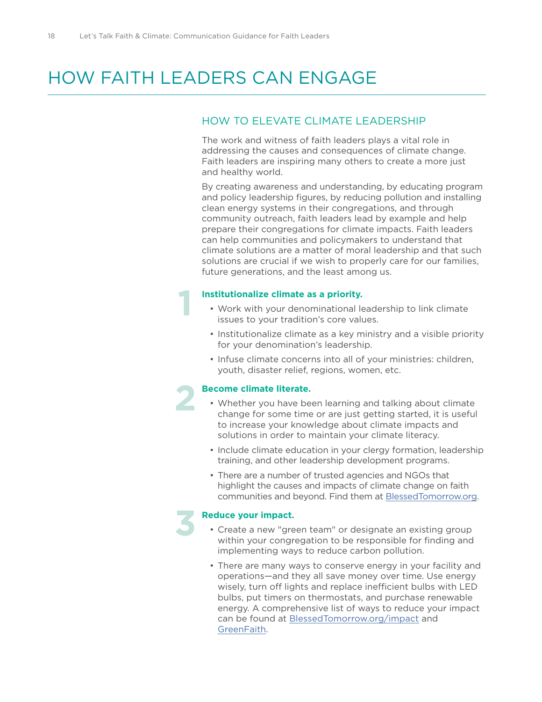**1**

**2**

**3**

## HOW FAITH LEADERS CAN ENGAGE

## HOW TO ELEVATE CLIMATE LEADERSHIP

The work and witness of faith leaders plays a vital role in addressing the causes and consequences of climate change. Faith leaders are inspiring many others to create a more just and healthy world.

By creating awareness and understanding, by educating program and policy leadership figures, by reducing pollution and installing clean energy systems in their congregations, and through community outreach, faith leaders lead by example and help prepare their congregations for climate impacts. Faith leaders can help communities and policymakers to understand that climate solutions are a matter of moral leadership and that such solutions are crucial if we wish to properly care for our families, future generations, and the least among us.

### **Institutionalize climate as a priority.**

- Work with your denominational leadership to link climate issues to your tradition's core values.
- Institutionalize climate as a key ministry and a visible priority for your denomination's leadership.
- Infuse climate concerns into all of your ministries: children, youth, disaster relief, regions, women, etc.

### **Become climate literate.**

- Whether you have been learning and talking about climate change for some time or are just getting started, it is useful to increase your knowledge about climate impacts and solutions in order to maintain your climate literacy.
- Include climate education in your clergy formation, leadership training, and other leadership development programs.
- There are a number of trusted agencies and NGOs that highlight the causes and impacts of climate change on faith communities and beyond. Find them at [BlessedTomorrow.org.](http://www.BlessedTomorrow.org)

### **Reduce your impact.**

- Create a new "green team" or designate an existing group within your congregation to be responsible for finding and implementing ways to reduce carbon pollution.
- There are many ways to conserve energy in your facility and operations—and they all save money over time. Use energy wisely, turn off lights and replace inefficient bulbs with LED bulbs, put timers on thermostats, and purchase renewable energy. A comprehensive list of ways to reduce your impact can be found at **[BlessedTomorrow.org/impact](http://www.BlessedTomorrow.org/impact )** and [GreenFaith.](http://www.greenfaith.org/getting-started/houses-of-worship)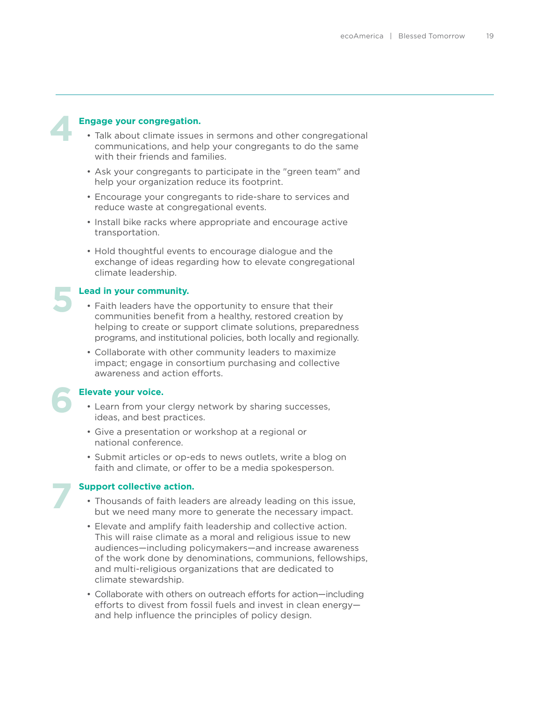**5**

**6**

**7**

### **Engage your congregation.**

- Talk about climate issues in sermons and other congregational communications, and help your congregants to do the same with their friends and families.
- Ask your congregants to participate in the "green team" and help your organization reduce its footprint.
- Encourage your congregants to ride-share to services and reduce waste at congregational events.
- Install bike racks where appropriate and encourage active transportation.
- Hold thoughtful events to encourage dialogue and the exchange of ideas regarding how to elevate congregational climate leadership.

### **Lead in your community.**

- Faith leaders have the opportunity to ensure that their communities benefit from a healthy, restored creation by helping to create or support climate solutions, preparedness programs, and institutional policies, both locally and regionally.
- Collaborate with other community leaders to maximize impact; engage in consortium purchasing and collective awareness and action efforts.

### **Elevate your voice.**

- Learn from your clergy network by sharing successes, ideas, and best practices.
- Give a presentation or workshop at a regional or national conference.
- Submit articles or op-eds to news outlets, write a blog on faith and climate, or offer to be a media spokesperson.

### **Support collective action.**

- Thousands of faith leaders are already leading on this issue, but we need many more to generate the necessary impact.
- Elevate and amplify faith leadership and collective action. This will raise climate as a moral and religious issue to new audiences—including policymakers—and increase awareness of the work done by denominations, communions, fellowships, and multi-religious organizations that are dedicated to climate stewardship.
- Collaborate with others on outreach efforts for action—including efforts to divest from fossil fuels and invest in clean energy and help influence the principles of policy design.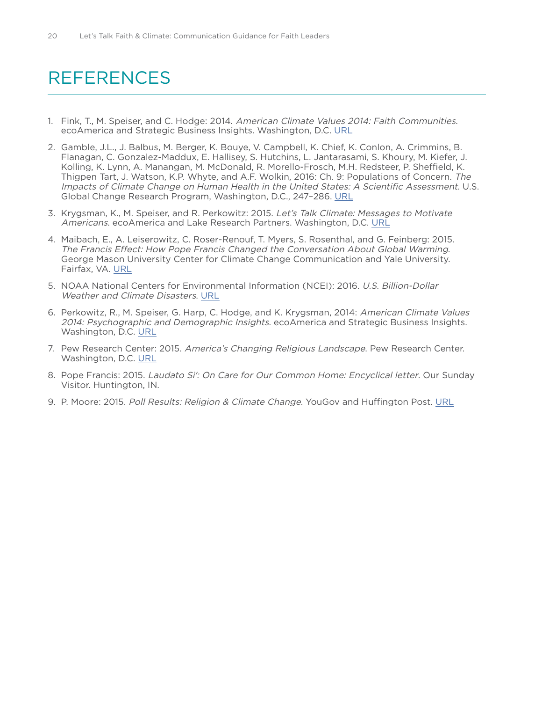## REFERENCES

- 1. Fink, T., M. Speiser, and C. Hodge: 2014. American Climate Values 2014: Faith Communities. ecoAmerica and Strategic Business Insights. Washington, D.C. [URL](http://ecoamerica.org/wp-content/uploads/2015/05/ecoAmerica-ACV-Faith-2015.pdf)
- 2. Gamble, J.L., J. Balbus, M. Berger, K. Bouye, V. Campbell, K. Chief, K. Conlon, A. Crimmins, B. Flanagan, C. Gonzalez-Maddux, E. Hallisey, S. Hutchins, L. Jantarasami, S. Khoury, M. Kiefer, J. Kolling, K. Lynn, A. Manangan, M. McDonald, R. Morello-Frosch, M.H. Redsteer, P. Sheffield, K. Thigpen Tart, J. Watson, K.P. Whyte, and A.F. Wolkin, 2016: Ch. 9: Populations of Concern. The Impacts of Climate Change on Human Health in the United States: A Scientific Assessment. U.S. Global Change Research Program, Washington, D.C., 247–286. [URL](http://dx.doi.org/10.7930/J0Q81B0T)
- 3. Krygsman, K., M. Speiser, and R. Perkowitz: 2015. Let's Talk Climate: Messages to Motivate Americans. ecoAmerica and Lake Research Partners. Washington, D.C. [URL](http://ecoamerica.org/research/#block-819)
- 4. Maibach, E., A. Leiserowitz, C. Roser-Renouf, T. Myers, S. Rosenthal, and G. Feinberg: 2015. The Francis Effect: How Pope Francis Changed the Conversation About Global Warming. George Mason University Center for Climate Change Communication and Yale University. Fairfax, VA. [URL](http://climatecommunication.yale.edu/publications/the-francis-effect/)
- 5. NOAA National Centers for Environmental Information (NCEI): 2016. U.S. Billion-Dollar Weather and Climate Disasters. [URL](https://www.ncdc.noaa.gov/billions/)
- 6. Perkowitz, R., M. Speiser, G. Harp, C. Hodge, and K. Krygsman, 2014: American Climate Values 2014: Psychographic and Demographic Insights. ecoAmerica and Strategic Business Insights. Washington, D.C. [URL](http://ecoamerica.org/wp-content/uploads/2014/04/eA_American_Climate_Values_2014_Psychographic_and_Demographic_Insights.pdf)
- 7. Pew Research Center: 2015. America's Changing Religious Landscape. Pew Research Center. Washington, D.C. [URL](http://www.pewforum.org/2015/05/12/americas-changing-religious-landscape/)
- 8. Pope Francis: 2015. Laudato Si': On Care for Our Common Home: Encyclical letter. Our Sunday Visitor. Huntington, IN.
- 9. P. Moore: 2015. Poll Results: Religion & Climate Change. YouGov and Huffington Post. [URL](https://today.yougov.com/news/2015/05/27/poll-results-religion-climate-change/)